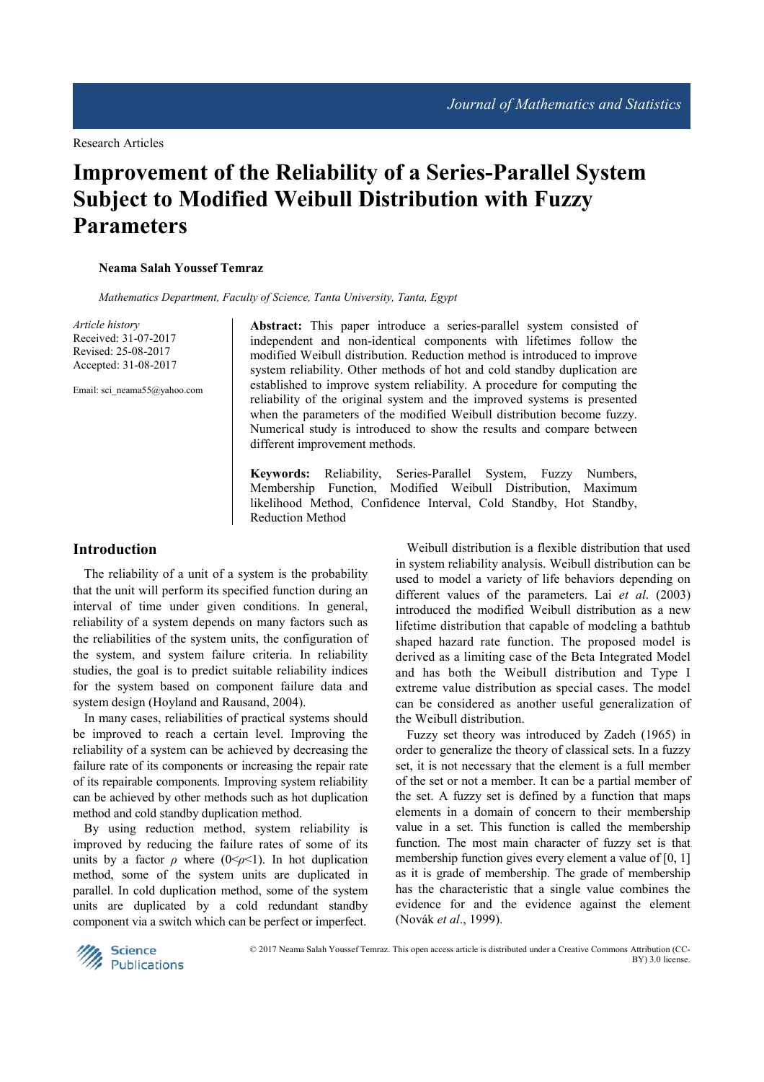# **Improvement of the Reliability of a Series-Parallel System Subject to Modified Weibull Distribution with Fuzzy Parameters**

## **Neama Salah Youssef Temraz**

*Mathematics Department, Faculty of Science, Tanta University, Tanta, Egypt* 

*Article history*  Received: 31-07-2017 Revised: 25-08-2017 Accepted: 31-08-2017

Email: sci\_neama55@yahoo.com

**Abstract:** This paper introduce a series-parallel system consisted of independent and non-identical components with lifetimes follow the modified Weibull distribution. Reduction method is introduced to improve system reliability. Other methods of hot and cold standby duplication are established to improve system reliability. A procedure for computing the reliability of the original system and the improved systems is presented when the parameters of the modified Weibull distribution become fuzzy. Numerical study is introduced to show the results and compare between different improvement methods.

**Keywords:** Reliability, Series-Parallel System, Fuzzy Numbers, Membership Function, Modified Weibull Distribution, Maximum likelihood Method, Confidence Interval, Cold Standby, Hot Standby, Reduction Method

# **Introduction**

The reliability of a unit of a system is the probability that the unit will perform its specified function during an interval of time under given conditions. In general, reliability of a system depends on many factors such as the reliabilities of the system units, the configuration of the system, and system failure criteria. In reliability studies, the goal is to predict suitable reliability indices for the system based on component failure data and system design (Hoyland and Rausand, 2004).

In many cases, reliabilities of practical systems should be improved to reach a certain level. Improving the reliability of a system can be achieved by decreasing the failure rate of its components or increasing the repair rate of its repairable components. Improving system reliability can be achieved by other methods such as hot duplication method and cold standby duplication method.

By using reduction method, system reliability is improved by reducing the failure rates of some of its units by a factor  $\rho$  where (0 <  $\rho$  < 1). In hot duplication method, some of the system units are duplicated in parallel. In cold duplication method, some of the system units are duplicated by a cold redundant standby component via a switch which can be perfect or imperfect.

Weibull distribution is a flexible distribution that used in system reliability analysis. Weibull distribution can be used to model a variety of life behaviors depending on different values of the parameters. Lai *et al*. (2003) introduced the modified Weibull distribution as a new lifetime distribution that capable of modeling a bathtub shaped hazard rate function. The proposed model is derived as a limiting case of the Beta Integrated Model and has both the Weibull distribution and Type I extreme value distribution as special cases. The model can be considered as another useful generalization of the Weibull distribution.

Fuzzy set theory was introduced by Zadeh (1965) in order to generalize the theory of classical sets. In a fuzzy set, it is not necessary that the element is a full member of the set or not a member. It can be a partial member of the set. A fuzzy set is defined by a function that maps elements in a domain of concern to their membership value in a set. This function is called the membership function. The most main character of fuzzy set is that membership function gives every element a value of [0, 1] as it is grade of membership. The grade of membership has the characteristic that a single value combines the evidence for and the evidence against the element (Novák *et al*., 1999).



 © 2017 Neama Salah Youssef Temraz. This open access article is distributed under a Creative Commons Attribution (CC-BY) 3.0 license.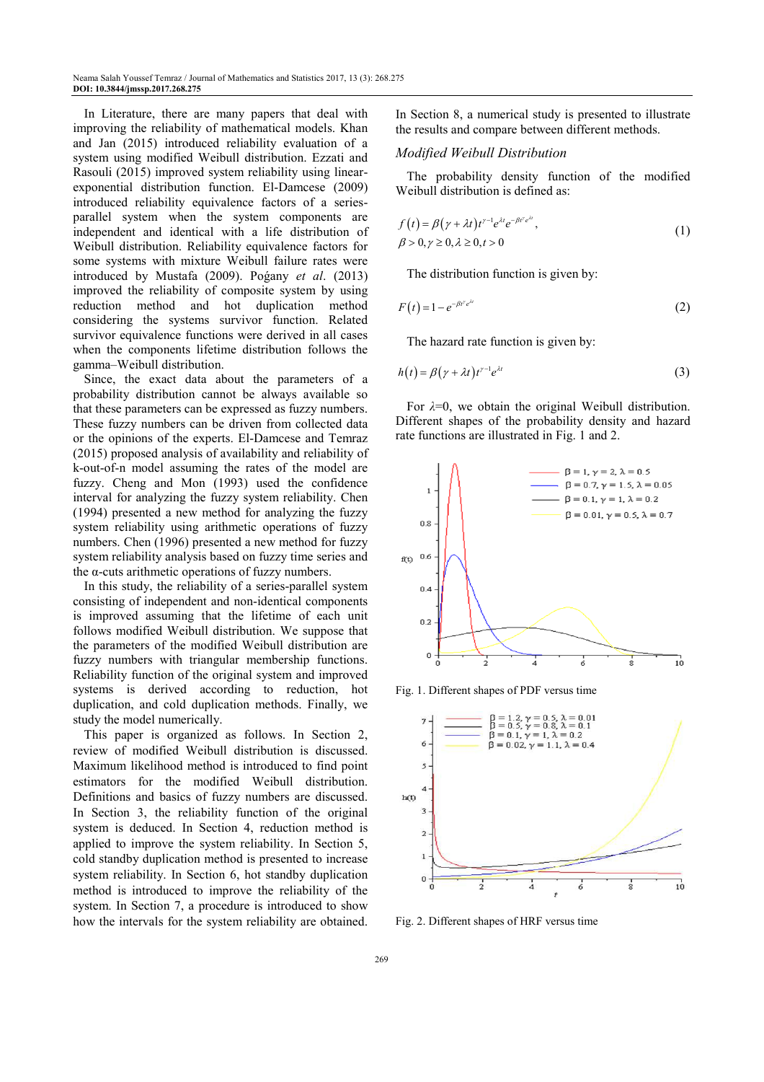In Literature, there are many papers that deal with improving the reliability of mathematical models. Khan and Jan (2015) introduced reliability evaluation of a system using modified Weibull distribution. Ezzati and Rasouli (2015) improved system reliability using linearexponential distribution function. El-Damcese (2009) introduced reliability equivalence factors of a seriesparallel system when the system components are independent and identical with a life distribution of Weibull distribution. Reliability equivalence factors for some systems with mixture Weibull failure rates were introduced by Mustafa (2009). Poǵany *et al*. (2013) improved the reliability of composite system by using reduction method and hot duplication method considering the systems survivor function. Related survivor equivalence functions were derived in all cases when the components lifetime distribution follows the gamma–Weibull distribution.

Since, the exact data about the parameters of a probability distribution cannot be always available so that these parameters can be expressed as fuzzy numbers. These fuzzy numbers can be driven from collected data or the opinions of the experts. El-Damcese and Temraz (2015) proposed analysis of availability and reliability of k-out-of-n model assuming the rates of the model are fuzzy. Cheng and Mon (1993) used the confidence interval for analyzing the fuzzy system reliability. Chen (1994) presented a new method for analyzing the fuzzy system reliability using arithmetic operations of fuzzy numbers. Chen (1996) presented a new method for fuzzy system reliability analysis based on fuzzy time series and the α-cuts arithmetic operations of fuzzy numbers.

In this study, the reliability of a series-parallel system consisting of independent and non-identical components is improved assuming that the lifetime of each unit follows modified Weibull distribution. We suppose that the parameters of the modified Weibull distribution are fuzzy numbers with triangular membership functions. Reliability function of the original system and improved systems is derived according to reduction, hot duplication, and cold duplication methods. Finally, we study the model numerically.

This paper is organized as follows. In Section 2, review of modified Weibull distribution is discussed. Maximum likelihood method is introduced to find point estimators for the modified Weibull distribution. Definitions and basics of fuzzy numbers are discussed. In Section 3, the reliability function of the original system is deduced. In Section 4, reduction method is applied to improve the system reliability. In Section 5, cold standby duplication method is presented to increase system reliability. In Section 6, hot standby duplication method is introduced to improve the reliability of the system. In Section 7, a procedure is introduced to show how the intervals for the system reliability are obtained. In Section 8, a numerical study is presented to illustrate the results and compare between different methods.

#### *Modified Weibull Distribution*

The probability density function of the modified Weibull distribution is defined as:

$$
f(t) = \beta(\gamma + \lambda t)t^{\gamma - 1}e^{\lambda t}e^{-\beta t^{\gamma}e^{\lambda t}}, \beta > 0, \gamma \ge 0, \lambda \ge 0, t > 0
$$
\n(1)

The distribution function is given by:

$$
F(t) = 1 - e^{-\beta t^{\gamma} e^{\lambda t}} \tag{2}
$$

The hazard rate function is given by:

$$
h(t) = \beta(\gamma + \lambda t)t^{\gamma - 1}e^{\lambda t} \tag{3}
$$

For *λ*=0, we obtain the original Weibull distribution. Different shapes of the probability density and hazard rate functions are illustrated in Fig. 1 and 2.



Fig. 1. Different shapes of PDF versus time



Fig. 2. Different shapes of HRF versus time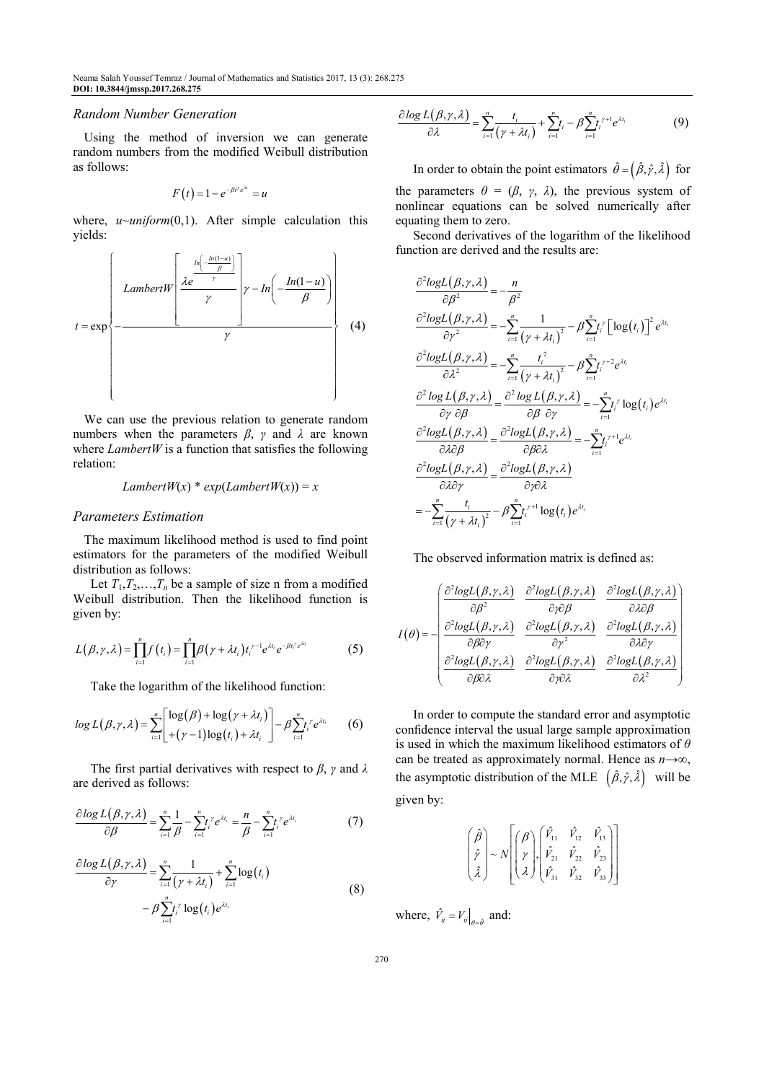#### *Random Number Generation*

Using the method of inversion we can generate random numbers from the modified Weibull distribution as follows:

$$
F(t) = 1 - e^{-\beta t^{\gamma} e^{\lambda t}} = u
$$

where, *u~uniform*(0,1). After simple calculation this yields:



We can use the previous relation to generate random numbers when the parameters *β*, *γ* and *λ* are known where  $LambertW$  is a function that satisfies the following relation:

# *LambertW*(*x*) \* *exp*(*LambertW*(*x*)) = *x*

### *Parameters Estimation*

The maximum likelihood method is used to find point estimators for the parameters of the modified Weibull distribution as follows:

Let  $T_1, T_2, \ldots, T_n$  be a sample of size n from a modified Weibull distribution. Then the likelihood function is given by:

$$
L(\beta, \gamma, \lambda) = \prod_{i=1}^{n} f(t_i) = \prod_{i=1}^{n} \beta(\gamma + \lambda t_i) t_i^{\gamma - 1} e^{\lambda t_i} e^{-\beta t_i^{\gamma} e^{\lambda t_i}}
$$
(5)

Take the logarithm of the likelihood function:

$$
log L(\beta, \gamma, \lambda) = \sum_{i=1}^{n} \left[ \frac{\log(\beta) + \log(\gamma + \lambda t_i)}{(\gamma - 1)\log(t_i) + \lambda t_i} \right] - \beta \sum_{i=1}^{n} t_i^{\gamma} e^{\lambda t_i} \qquad (6)
$$

The first partial derivatives with respect to *β*, *γ* and *λ* are derived as follows:

$$
\frac{\partial \log L(\beta, \gamma, \lambda)}{\partial \beta} = \sum_{i=1}^{n} \frac{1}{\beta} - \sum_{i=1}^{n} t_i^{\gamma} e^{\lambda t_i} = \frac{n}{\beta} - \sum_{i=1}^{n} t_i^{\gamma} e^{\lambda t_i}
$$
(7)

$$
\frac{\partial \log L(\beta, \gamma, \lambda)}{\partial \gamma} = \sum_{i=1}^{n} \frac{1}{(\gamma + \lambda t_i)} + \sum_{i=1}^{n} \log(t_i)
$$
  
-  $\beta \sum_{i=1}^{n} t_i^{\gamma} \log(t_i) e^{\lambda t_i}$  (8)

$$
\frac{\partial \log L(\beta, \gamma, \lambda)}{\partial \lambda} = \sum_{i=1}^{n} \frac{t_i}{(\gamma + \lambda t_i)} + \sum_{i=1}^{n} t_i - \beta \sum_{i=1}^{n} t_i^{\gamma + 1} e^{\lambda t_i}
$$
(9)

In order to obtain the point estimators  $\hat{\theta} = (\hat{\beta}, \hat{\gamma}, \hat{\lambda})$  for the parameters  $\theta = (\beta, \gamma, \lambda)$ , the previous system of nonlinear equations can be solved numerically after equating them to zero.

Second derivatives of the logarithm of the likelihood function are derived and the results are:

$$
\frac{\partial^2 logL(\beta, \gamma, \lambda)}{\partial \beta^2} = -\frac{n}{\beta^2}
$$
\n
$$
\frac{\partial^2 logL(\beta, \gamma, \lambda)}{\partial \gamma^2} = -\sum_{i=1}^n \frac{1}{(\gamma + \lambda t_i)^2} - \beta \sum_{i=1}^n t_i^{\gamma} \left[ \log(t_i) \right]^2 e^{\lambda t_i}
$$
\n
$$
\frac{\partial^2 logL(\beta, \gamma, \lambda)}{\partial \lambda^2} = -\sum_{i=1}^n \frac{t_i^2}{(\gamma + \lambda t_i)^2} - \beta \sum_{i=1}^n t_i^{\gamma + 2} e^{\lambda t_i}
$$
\n
$$
\frac{\partial^2 logL(\beta, \gamma, \lambda)}{\partial \gamma \partial \beta} = \frac{\partial^2 logL(\beta, \gamma, \lambda)}{\partial \beta \partial \gamma} = -\sum_{i=1}^n t_i^{\gamma} log(t_i) e^{\lambda t_i}
$$
\n
$$
\frac{\partial^2 logL(\beta, \gamma, \lambda)}{\partial \lambda \partial \beta} = \frac{\partial^2 logL(\beta, \gamma, \lambda)}{\partial \beta \partial \lambda} = -\sum_{i=1}^n t_i^{\gamma + 1} e^{\lambda t_i}
$$
\n
$$
\frac{\partial^2 logL(\beta, \gamma, \lambda)}{\partial \lambda \partial \gamma} = \frac{\partial^2 logL(\beta, \gamma, \lambda)}{\partial \gamma \partial \lambda}
$$
\n
$$
= -\sum_{i=1}^n \frac{t_i}{(\gamma + \lambda t_i)^2} - \beta \sum_{i=1}^n t_i^{\gamma + 1} log(t_i) e^{\lambda t_i}
$$

The observed information matrix is defined as:

$$
I(\theta) = -\begin{pmatrix} \frac{\partial^2 logL(\beta, \gamma, \lambda)}{\partial \beta^2} & \frac{\partial^2 logL(\beta, \gamma, \lambda)}{\partial \gamma \partial \beta} & \frac{\partial^2 logL(\beta, \gamma, \lambda)}{\partial \lambda \partial \beta} \\ \frac{\partial^2 logL(\beta, \gamma, \lambda)}{\partial \beta \partial \gamma} & \frac{\partial^2 logL(\beta, \gamma, \lambda)}{\partial \gamma^2} & \frac{\partial^2 logL(\beta, \gamma, \lambda)}{\partial \lambda \partial \gamma} \\ \frac{\partial^2 logL(\beta, \gamma, \lambda)}{\partial \beta \partial \lambda} & \frac{\partial^2 logL(\beta, \gamma, \lambda)}{\partial \gamma \partial \lambda} & \frac{\partial^2 logL(\beta, \gamma, \lambda)}{\partial \lambda^2} \end{pmatrix}
$$

In order to compute the standard error and asymptotic confidence interval the usual large sample approximation is used in which the maximum likelihood estimators of *θ* can be treated as approximately normal. Hence as *n*→*∞*, the asymptotic distribution of the MLE  $(\hat{\beta}, \hat{\gamma}, \hat{\lambda})$  will be given by:

$$
\begin{bmatrix} \hat{\beta} \\ \hat{y} \\ \hat{\lambda} \end{bmatrix} \sim N \begin{bmatrix} \beta \\ \gamma \\ \lambda \end{bmatrix}, \begin{bmatrix} \hat{V}_{11} & \hat{V}_{12} & \hat{V}_{13} \\ \hat{V}_{21} & \hat{V}_{22} & \hat{V}_{23} \\ \hat{V}_{31} & \hat{V}_{32} & \hat{V}_{33} \end{bmatrix}
$$

where,  $\hat{V}_{ij} = V_{ij} \big|_{\theta = \hat{\theta}}$  and: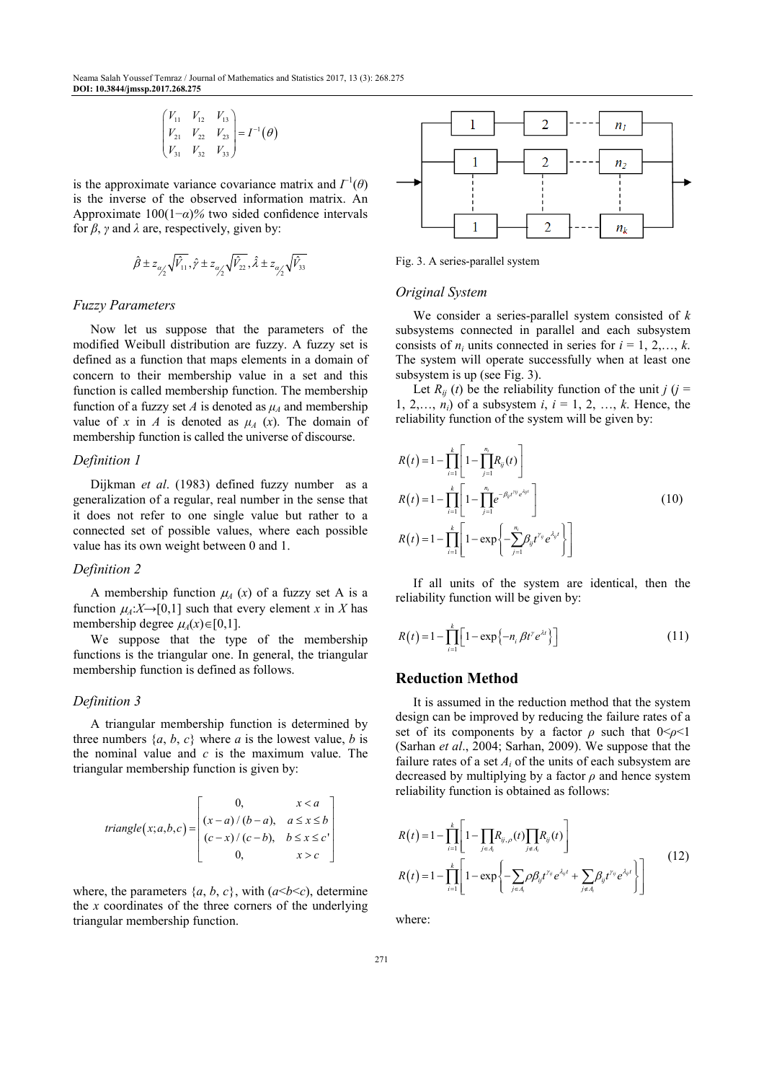$$
\begin{pmatrix} V_{11} & V_{12} & V_{13} \ V_{21} & V_{22} & V_{23} \ V_{31} & V_{32} & V_{33} \end{pmatrix} = I^{-1}(\theta)
$$

is the approximate variance covariance matrix and  $\Gamma^1(\theta)$ is the inverse of the observed information matrix. An Approximate 100(1−*α*)*%* two sided confidence intervals for  $\beta$ ,  $\gamma$  and  $\lambda$  are, respectively, given by:

$$
\hat{\beta} \pm z_{\alpha_1'} \sqrt{\hat{V}_{11}}, \hat{\gamma} \pm z_{\alpha_1'} \sqrt{\hat{V}_{22}}, \hat{\lambda} \pm z_{\alpha_1'} \sqrt{\hat{V}_{33}}
$$

#### *Fuzzy Parameters*

Now let us suppose that the parameters of the modified Weibull distribution are fuzzy. A fuzzy set is defined as a function that maps elements in a domain of concern to their membership value in a set and this function is called membership function. The membership function of a fuzzy set *A* is denoted as  $\mu_A$  and membership value of x in A is denoted as  $\mu_A$  (x). The domain of membership function is called the universe of discourse.

#### *Definition 1*

Dijkman *et al*. (1983) defined fuzzy number as a generalization of a regular, real number in the sense that it does not refer to one single value but rather to a connected set of possible values, where each possible value has its own weight between 0 and 1.

## *Definition 2*

A membership function  $\mu_A(x)$  of a fuzzy set A is a function  $\mu_A: X \to [0,1]$  such that every element x in X has membership degree  $\mu_A(x) \in [0,1]$ .

We suppose that the type of the membership functions is the triangular one. In general, the triangular membership function is defined as follows.

# *Definition 3*

A triangular membership function is determined by three numbers  $\{a, b, c\}$  where *a* is the lowest value, *b* is the nominal value and *c* is the maximum value. The triangular membership function is given by:

triangle(x;a,b,c) = 
$$
\begin{bmatrix} 0, & x < a \\ (x-a)/(b-a), & a \le x \le b \\ (c-x)/(c-b), & b \le x \le c' \\ 0, & x > c \end{bmatrix}
$$

where, the parameters  $\{a, b, c\}$ , with  $(a < b < c)$ , determine the *x* coordinates of the three corners of the underlying triangular membership function.



Fig. 3. A series-parallel system

#### *Original System*

We consider a series-parallel system consisted of *k* subsystems connected in parallel and each subsystem consists of  $n_i$  units connected in series for  $i = 1, 2, \ldots, k$ . The system will operate successfully when at least one subsystem is up (see Fig. 3).

Let  $R_{ij}$  (*t*) be the reliability function of the unit *j* (*j* = 1, 2,...,  $n_i$ ) of a subsystem *i*,  $i = 1, 2, ..., k$ . Hence, the reliability function of the system will be given by:

$$
R(t) = 1 - \prod_{i=1}^{k} \left[ 1 - \prod_{j=1}^{n_i} R_{ij}(t) \right]
$$
  
\n
$$
R(t) = 1 - \prod_{i=1}^{k} \left[ 1 - \prod_{j=1}^{n_i} e^{-\beta_{ij}t^{n_j}e^{\lambda_{ij}t}} \right]
$$
  
\n
$$
R(t) = 1 - \prod_{i=1}^{k} \left[ 1 - \exp\left\{-\sum_{j=1}^{n_i} \beta_{ij}t^{n_j}e^{\lambda_{ij}t} \right\} \right]
$$
\n(10)

If all units of the system are identical, then the reliability function will be given by:

$$
R(t) = 1 - \prod_{i=1}^{k} \left[ 1 - \exp\left\{-n_i \beta t^{\gamma} e^{\lambda t}\right\} \right]
$$
 (11)

## **Reduction Method**

It is assumed in the reduction method that the system design can be improved by reducing the failure rates of a set of its components by a factor  $\rho$  such that  $0 \leq \rho \leq 1$ (Sarhan *et al*., 2004; Sarhan, 2009). We suppose that the failure rates of a set  $A_i$  of the units of each subsystem are decreased by multiplying by a factor  $\rho$  and hence system reliability function is obtained as follows:

$$
R(t) = 1 - \prod_{i=1}^{k} \left[ 1 - \prod_{j \in A_i} R_{ij, \rho}(t) \prod_{j \in A_i} R_{ij}(t) \right]
$$
  

$$
R(t) = 1 - \prod_{i=1}^{k} \left[ 1 - \exp \left\{ - \sum_{j \in A_i} \rho \beta_{ij} t^{y_i} e^{\lambda_i t} + \sum_{j \in A_i} \beta_{ij} t^{y_i} e^{\lambda_i t} \right\} \right]
$$
(12)

where: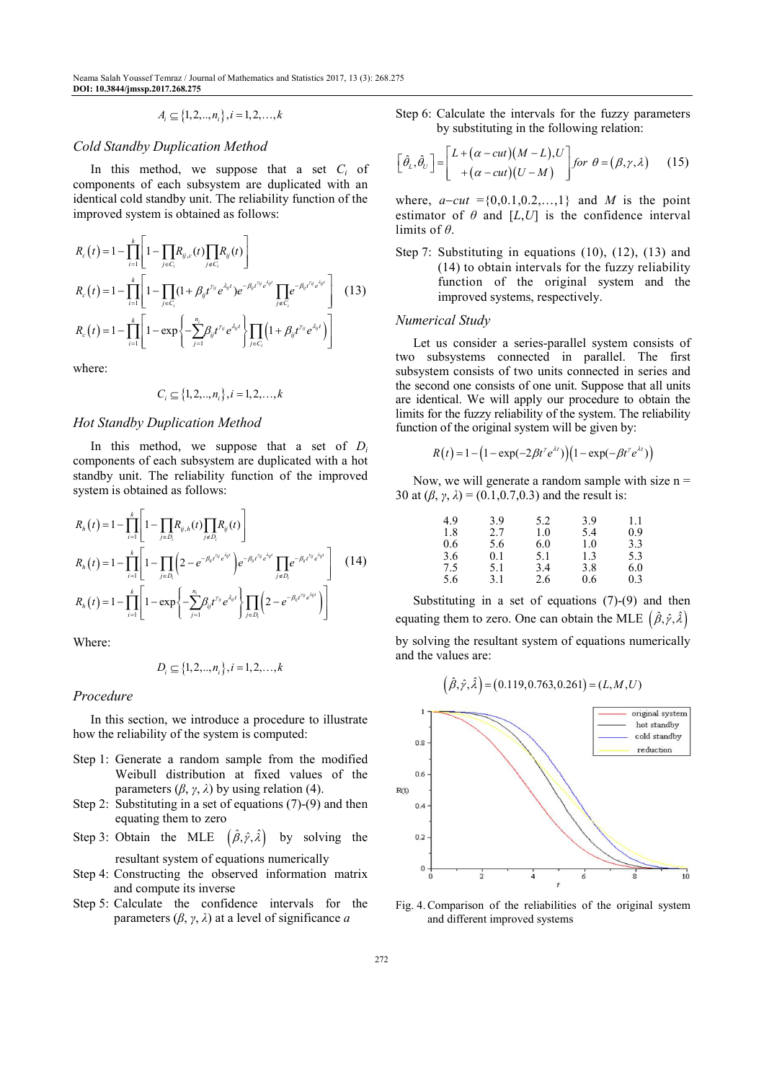Neama Salah Youssef Temraz / Journal of Mathematics and Statistics 2017, 13 (3): 268.275 **DOI: 10.3844/jmssp.2017.268.275** 

$$
A_i \subseteq \{1, 2, ..., n_i\}, i = 1, 2, ..., k
$$

## *Cold Standby Duplication Method*

In this method, we suppose that a set  $C_i$  of components of each subsystem are duplicated with an identical cold standby unit. The reliability function of the improved system is obtained as follows:

$$
R_c(t) = 1 - \prod_{i=1}^k \left[ 1 - \prod_{j \in C_i} R_{ij,c}(t) \prod_{j \in C_i} R_{ij}(t) \right]
$$
  
\n
$$
R_c(t) = 1 - \prod_{i=1}^k \left[ 1 - \prod_{j \in C_i} (1 + \beta_{ij} t^{x_{ij}} e^{\lambda_{ij}t}) e^{-\beta_{ij} t^{x_{ij}} e^{\lambda_{ij}t}} \prod_{j \in C_i} e^{-\beta_{ij} t^{y_{ij}} e^{\lambda_{ij}t}} \right]
$$
(13)  
\n
$$
R_c(t) = 1 - \prod_{i=1}^k \left[ 1 - \exp\left\{-\sum_{j=1}^{n_i} \beta_{ij} t^{x_{ij}} e^{\lambda_{ij}t} \right\} \prod_{j \in C_i} \left( 1 + \beta_{ij} t^{x_{ij}} e^{\lambda_{ij}t} \right) \right]
$$

where:

$$
C_i \subseteq \{1, 2, ..., n_i\}, i = 1, 2, ..., k
$$

# *Hot Standby Duplication Method*

In this method, we suppose that a set of  $D_i$ components of each subsystem are duplicated with a hot standby unit. The reliability function of the improved system is obtained as follows:

$$
R_{h}(t) = 1 - \prod_{i=1}^{k} \left[ 1 - \prod_{j \in D_{i}} R_{ij,h}(t) \prod_{j \in D_{i}} R_{ij}(t) \right]
$$
  
\n
$$
R_{h}(t) = 1 - \prod_{i=1}^{k} \left[ 1 - \prod_{j \in D_{i}} \left( 2 - e^{-\beta_{ij}t^{v_{ij}}e^{i\psi t}} \right) e^{-\beta_{ij}t^{v_{ij}}e^{i\psi t}} \prod_{j \in D_{i}} e^{-\beta_{ij}t^{v_{ij}}e^{i\psi t}} \right]
$$
(14)  
\n
$$
R_{h}(t) = 1 - \prod_{i=1}^{k} \left[ 1 - \exp \left\{ -\sum_{j=1}^{n_{i}} \beta_{ij}t^{v_{ij}}e^{i\omega_{ij}t} \right\} \prod_{j \in D_{i}} \left( 2 - e^{-\beta_{ij}t^{v_{ij}}e^{i\psi t}} \right) \right]
$$

Where:

$$
D_i \subseteq \{1, 2, ..., n_i\}, i = 1, 2, ..., k
$$

### *Procedure*

In this section, we introduce a procedure to illustrate how the reliability of the system is computed:

- Step 1: Generate a random sample from the modified Weibull distribution at fixed values of the parameters  $(\beta, \gamma, \lambda)$  by using relation (4).
- Step 2: Substituting in a set of equations (7)-(9) and then equating them to zero
- Step 3: Obtain the MLE  $(\hat{\beta}, \hat{\gamma}, \hat{\lambda})$  by solving the resultant system of equations numerically
- Step 4: Constructing the observed information matrix and compute its inverse
- Step 5: Calculate the confidence intervals for the parameters  $(\beta, \gamma, \lambda)$  at a level of significance *a*

Step 6: Calculate the intervals for the fuzzy parameters by substituting in the following relation:

$$
\left[\hat{\theta}_{L},\hat{\theta}_{U}\right]=\left[\begin{array}{c}L+(\alpha-cut)(M-L),U\\+(\alpha-cut)(U-M)\end{array}\right] \text{ for }\theta=(\beta,\gamma,\lambda) \qquad (15)
$$

where,  $a$ –*cut* ={0,0.1,0.2,…,1} and *M* is the point estimator of  $\theta$  and  $[L, U]$  is the confidence interval limits of *θ*.

Step 7: Substituting in equations (10), (12), (13) and (14) to obtain intervals for the fuzzy reliability function of the original system and the improved systems, respectively.

#### *Numerical Study*

Let us consider a series-parallel system consists of two subsystems connected in parallel. The first subsystem consists of two units connected in series and the second one consists of one unit. Suppose that all units are identical. We will apply our procedure to obtain the limits for the fuzzy reliability of the system. The reliability function of the original system will be given by:

$$
R(t) = 1 - (1 - \exp(-2\beta t^{\gamma} e^{\lambda t})) (1 - \exp(-\beta t^{\gamma} e^{\lambda t}))
$$

Now, we will generate a random sample with size  $n =$ 30 at (*β*, *γ*, *λ*) = (0.1,0.7,0.3) and the result is:

| 4.9 | 39  | 5.2 | 3.9 | 1.1 |
|-----|-----|-----|-----|-----|
| 1.8 | 2.7 | 1.0 | 5.4 | 0.9 |
| 0.6 | 5.6 | 6.0 | 1.0 | 3.3 |
| 3.6 | 0.1 | 5.1 | 1.3 | 5.3 |
| 7.5 | 5.1 | 3.4 | 3.8 | 6.0 |
| 5.6 | 3.1 | 2.6 | 0.6 | 0.3 |

Substituting in a set of equations  $(7)-(9)$  and then equating them to zero. One can obtain the MLE  $(\hat{\beta}, \hat{\gamma}, \hat{\lambda})$ by solving the resultant system of equations numerically and the values are:

$$
(\hat{\beta}, \hat{\gamma}, \hat{\lambda}) = (0.119, 0.763, 0.261) = (L, M, U)
$$



Fig. 4. Comparison of the reliabilities of the original system and different improved systems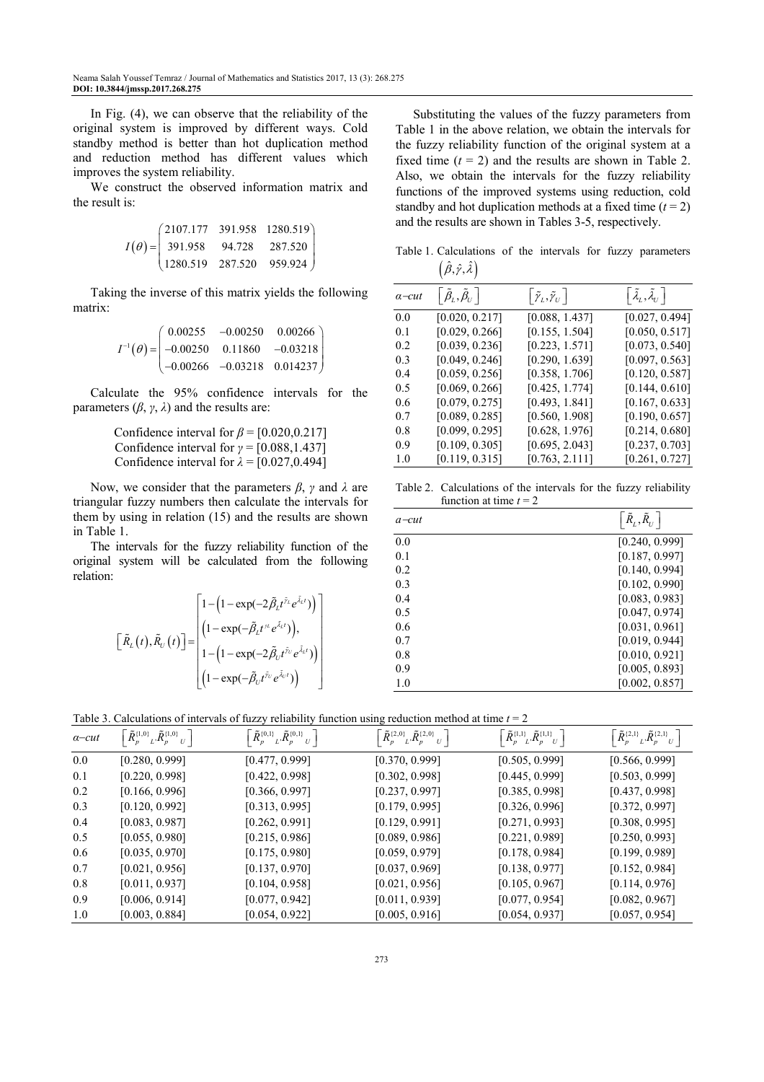In Fig. (4), we can observe that the reliability of the original system is improved by different ways. Cold standby method is better than hot duplication method and reduction method has different values which improves the system reliability.

We construct the observed information matrix and the result is:

$$
I(\theta) = \begin{pmatrix} 2107.177 & 391.958 & 1280.519 \\ 391.958 & 94.728 & 287.520 \\ 1280.519 & 287.520 & 959.924 \end{pmatrix}
$$

Taking the inverse of this matrix yields the following matrix:

$$
I^{-1}(\theta) = \begin{pmatrix} 0.00255 & -0.00250 & 0.00266 \\ -0.00250 & 0.11860 & -0.03218 \\ -0.00266 & -0.03218 & 0.014237 \end{pmatrix}
$$

Calculate the 95% confidence intervals for the parameters  $(\beta, \gamma, \lambda)$  and the results are:

> Confidence interval for *β* = [0.020,0.217] Confidence interval for *γ* = [0.088,1.437] Confidence interval for  $\lambda = [0.027, 0.494]$

Now, we consider that the parameters *β*, *γ* and *λ* are triangular fuzzy numbers then calculate the intervals for them by using in relation (15) and the results are shown in Table 1.

The intervals for the fuzzy reliability function of the original system will be calculated from the following relation:

$$
\begin{bmatrix}\tilde{R}_{L}(t),\tilde{R}_{U}(t)\end{bmatrix} = \begin{bmatrix}1-\left(1-\exp(-2\tilde{\beta}_{L}t^{\tilde{\gamma}_{L}}e^{\tilde{\lambda}_{L}t})\right)\\ \left(1-\exp(-\tilde{\beta}_{L}t^{\tilde{\gamma}_{L}}e^{\tilde{\lambda}_{L}t})\right),\\ 1-\left(1-\exp(-2\tilde{\beta}_{U}t^{\tilde{\gamma}_{U}}e^{\tilde{\lambda}_{L}t})\right)\\ \left(1-\exp(-\tilde{\beta}_{U}t^{\tilde{\gamma}_{U}}e^{\tilde{\lambda}_{U}t})\right)\end{bmatrix}
$$

Substituting the values of the fuzzy parameters from Table 1 in the above relation, we obtain the intervals for the fuzzy reliability function of the original system at a fixed time  $(t = 2)$  and the results are shown in Table 2. Also, we obtain the intervals for the fuzzy reliability functions of the improved systems using reduction, cold standby and hot duplication methods at a fixed time  $(t = 2)$ and the results are shown in Tables 3-5, respectively.

Table 1. Calculations of the intervals for fuzzy parameters  $\left(\hat{\beta}, \hat{\gamma}, \hat{\lambda}\right)$ 

| $a$ -cut | $\left\lceil \tilde{\beta}_\mathrm{\scriptscriptstyle L}, \tilde{\beta}_\mathrm{\scriptscriptstyle U}\right\rceil$ | $\left\lceil\tilde{\mathbf{\gamma}}_{_L},\tilde{\mathbf{\gamma}}_{_U}\right\rceil$ | $\left\lceil \tilde{\lambda}_{_L}, \tilde{\lambda}_{_U} \right\rceil$ |
|----------|--------------------------------------------------------------------------------------------------------------------|------------------------------------------------------------------------------------|-----------------------------------------------------------------------|
| 0.0      | [0.020, 0.217]                                                                                                     | [0.088, 1.437]                                                                     | [0.027, 0.494]                                                        |
| 0.1      | [0.029, 0.266]                                                                                                     | [0.155, 1.504]                                                                     | [0.050, 0.517]                                                        |
| 0.2      | [0.039, 0.236]                                                                                                     | [0.223, 1.571]                                                                     | [0.073, 0.540]                                                        |
| 0.3      | [0.049, 0.246]                                                                                                     | [0.290, 1.639]                                                                     | [0.097, 0.563]                                                        |
| 0.4      | [0.059, 0.256]                                                                                                     | [0.358, 1.706]                                                                     | [0.120, 0.587]                                                        |
| 0.5      | [0.069, 0.266]                                                                                                     | [0.425, 1.774]                                                                     | [0.144, 0.610]                                                        |
| 0.6      | [0.079, 0.275]                                                                                                     | [0.493, 1.841]                                                                     | [0.167, 0.633]                                                        |
| 0.7      | [0.089, 0.285]                                                                                                     | [0.560, 1.908]                                                                     | [0.190, 0.657]                                                        |
| 0.8      | [0.099, 0.295]                                                                                                     | [0.628, 1.976]                                                                     | [0.214, 0.680]                                                        |
| 0.9      | [0.109, 0.305]                                                                                                     | [0.695, 2.043]                                                                     | [0.237, 0.703]                                                        |
| 1.0      | [0.119, 0.315]                                                                                                     | [0.763, 2.111]                                                                     | [0.261, 0.727]                                                        |

Table 2. Calculations of the intervals for the fuzzy reliability function at time  $t = 2$ 

| $a$ -cut       | $\left \right.{\tilde{R}_L}, {\tilde{R}_U} \right $ |
|----------------|-----------------------------------------------------|
| 0 <sub>0</sub> | [0.240, 0.999]                                      |
| 0.1            | [0.187, 0.997]                                      |
| 0.2            | [0.140, 0.994]                                      |
| 0.3            | [0.102, 0.990]                                      |
| 0.4            | [0.083, 0.983]                                      |
| 0.5            | [0.047, 0.974]                                      |
| 0.6            | [0.031, 0.961]                                      |
| 0.7            | [0.019, 0.944]                                      |
| 0.8            | [0.010, 0.921]                                      |
| 0.9            | [0.005, 0.893]                                      |
| 1.0            | [0.002, 0.857]                                      |

Table 3. Calculations of intervals of fuzzy reliability function using reduction method at time *t* = 2

| $a$ -cut | $\left\lceil {\tilde R}_p^{\{1,0\}} \right\rceil_L \tilde R_p^{\{1,0\}} \, U \, \left\lceil \right\rceil$ | $\left\lceil {\tilde R}_p^{\{0,1\}}\right\rceil_L \tilde R_p^{\{0,1\}}\big _U\, \right\rceil$ | $\left[\,\tilde{R}_p^{\{2,0\}}\vphantom{R}^{\{2,0\}}_{L}\tilde{R}_p^{\{2,0\}}\vphantom{R}^{\phantom{R}U}\,\right]$ | $\left\lceil {\tilde R}_p^{\{1,1\}}\right\rceil_L {\tilde R}_p^{\{1,1\}}{}_U \left\lceil \right\rceil$ | $\left[ \, \tilde{R}_{p}^{\{2,1\}}\vphantom{R}L\cdot \tilde{R}_{p}^{\{2,1\}}\vphantom{R}U \, \right]$ |
|----------|-----------------------------------------------------------------------------------------------------------|-----------------------------------------------------------------------------------------------|--------------------------------------------------------------------------------------------------------------------|--------------------------------------------------------------------------------------------------------|-------------------------------------------------------------------------------------------------------|
| 0.0      | [0.280, 0.999]                                                                                            | [0.477, 0.999]                                                                                | [0.370, 0.999]                                                                                                     | [0.505, 0.999]                                                                                         | [0.566, 0.999]                                                                                        |
| 0.1      | [0.220, 0.998]                                                                                            | [0.422, 0.998]                                                                                | [0.302, 0.998]                                                                                                     | [0.445, 0.999]                                                                                         | [0.503, 0.999]                                                                                        |
| 0.2      | [0.166, 0.996]                                                                                            | [0.366, 0.997]                                                                                | [0.237, 0.997]                                                                                                     | [0.385, 0.998]                                                                                         | [0.437, 0.998]                                                                                        |
| 0.3      | [0.120, 0.992]                                                                                            | [0.313, 0.995]                                                                                | [0.179, 0.995]                                                                                                     | [0.326, 0.996]                                                                                         | [0.372, 0.997]                                                                                        |
| 0.4      | [0.083, 0.987]                                                                                            | [0.262, 0.991]                                                                                | [0.129, 0.991]                                                                                                     | [0.271, 0.993]                                                                                         | [0.308, 0.995]                                                                                        |
| 0.5      | [0.055, 0.980]                                                                                            | [0.215, 0.986]                                                                                | [0.089, 0.986]                                                                                                     | [0.221, 0.989]                                                                                         | [0.250, 0.993]                                                                                        |
| 0.6      | [0.035, 0.970]                                                                                            | [0.175, 0.980]                                                                                | [0.059, 0.979]                                                                                                     | [0.178, 0.984]                                                                                         | [0.199, 0.989]                                                                                        |
| 0.7      | [0.021, 0.956]                                                                                            | [0.137, 0.970]                                                                                | [0.037, 0.969]                                                                                                     | [0.138, 0.977]                                                                                         | [0.152, 0.984]                                                                                        |
| 0.8      | [0.011, 0.937]                                                                                            | [0.104, 0.958]                                                                                | [0.021, 0.956]                                                                                                     | [0.105, 0.967]                                                                                         | [0.114, 0.976]                                                                                        |
| 0.9      | [0.006, 0.914]                                                                                            | [0.077, 0.942]                                                                                | [0.011, 0.939]                                                                                                     | [0.077, 0.954]                                                                                         | [0.082, 0.967]                                                                                        |
| 1.0      | [0.003, 0.884]                                                                                            | [0.054, 0.922]                                                                                | [0.005, 0.916]                                                                                                     | [0.054, 0.937]                                                                                         | [0.057, 0.954]                                                                                        |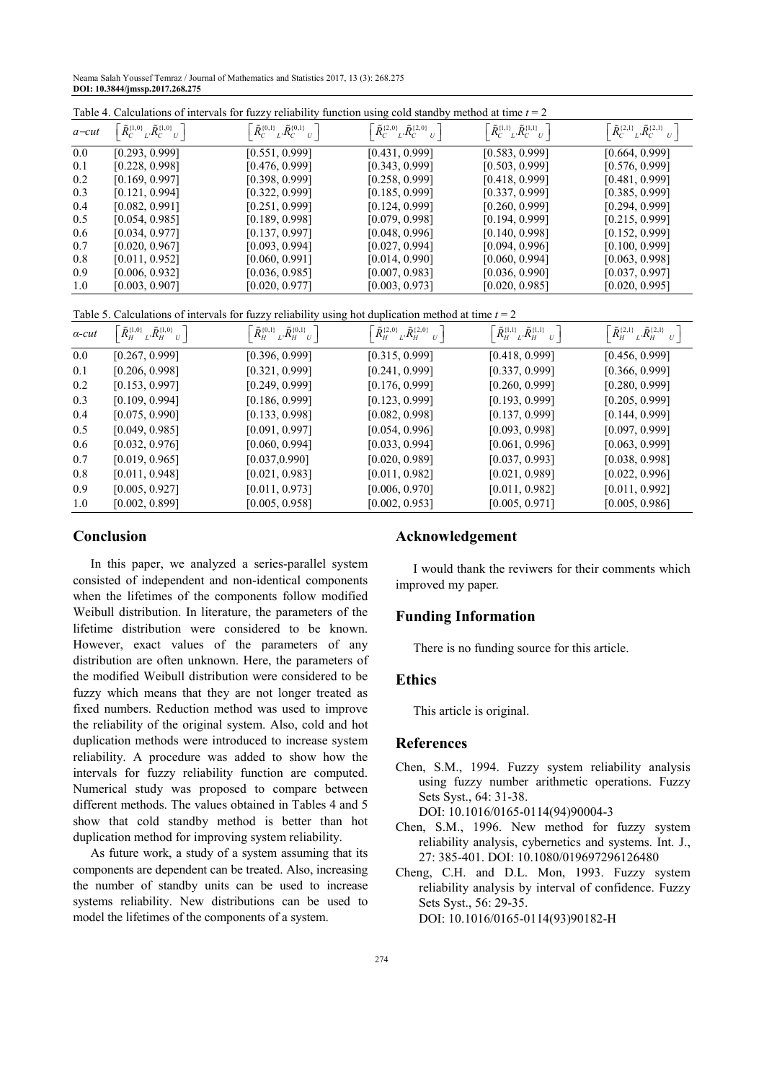Neama Salah Youssef Temraz / Journal of Mathematics and Statistics 2017, 13 (3): 268.275 **DOI: 10.3844/jmssp.2017.268.275** 

| Table 4. Calculations of intervals for fuzzy reliability function using cold standby method at time $t = 2$ |                                                                                  |                                                                                                                |                                                                                 |                                                                                |                                                                           |
|-------------------------------------------------------------------------------------------------------------|----------------------------------------------------------------------------------|----------------------------------------------------------------------------------------------------------------|---------------------------------------------------------------------------------|--------------------------------------------------------------------------------|---------------------------------------------------------------------------|
| $a$ -cut                                                                                                    | $\left\lceil \tilde{R}_{C-L}^{\{1,0\}} \tilde{R}_{C-L}^{\{1,0\}} \right\rceil$ . | $\left\lceil \tilde{R}_{C}^{\{0,1\}}\right\rceil _{L} \tilde{R}_{C}^{\{0,1\}}$ $_{U} \left\lceil \right\rceil$ | $\left\lceil {\tilde R_C^{(2,0)} }_{L'} {\tilde R_C^{(2,0)} }_{U} \right\rceil$ | $\left\lceil \tilde{R}_{C-L}^{\{1,1\}} \tilde{R}_{C-U}^{\{1,1\}} \right\rceil$ | $\left\lceil \tilde{R}_{C-L}^{(2,1)},\tilde{R}_{C-L}^{(2,1)}\right\rceil$ |
| 0.0                                                                                                         | [0.293, 0.999]                                                                   | [0.551, 0.999]                                                                                                 | [0.431, 0.999]                                                                  | [0.583, 0.999]                                                                 | [0.664, 0.999]                                                            |
| 0.1                                                                                                         | [0.228, 0.998]                                                                   | [0.476, 0.999]                                                                                                 | [0.343, 0.999]                                                                  | [0.503, 0.999]                                                                 | [0.576, 0.999]                                                            |
| 0.2                                                                                                         | [0.169, 0.997]                                                                   | [0.398, 0.999]                                                                                                 | [0.258, 0.999]                                                                  | [0.418, 0.999]                                                                 | [0.481, 0.999]                                                            |
| 0.3                                                                                                         | [0.121, 0.994]                                                                   | [0.322, 0.999]                                                                                                 | [0.185, 0.999]                                                                  | [0.337, 0.999]                                                                 | [0.385, 0.999]                                                            |
| 0.4                                                                                                         | [0.082, 0.991]                                                                   | [0.251, 0.999]                                                                                                 | [0.124, 0.999]                                                                  | [0.260, 0.999]                                                                 | [0.294, 0.999]                                                            |
| 0.5                                                                                                         | [0.054, 0.985]                                                                   | [0.189, 0.998]                                                                                                 | [0.079, 0.998]                                                                  | [0.194, 0.999]                                                                 | [0.215, 0.999]                                                            |
| 0.6                                                                                                         | [0.034, 0.977]                                                                   | [0.137, 0.997]                                                                                                 | [0.048, 0.996]                                                                  | [0.140, 0.998]                                                                 | [0.152, 0.999]                                                            |
| 0.7                                                                                                         | [0.020, 0.967]                                                                   | [0.093, 0.994]                                                                                                 | [0.027, 0.994]                                                                  | [0.094, 0.996]                                                                 | [0.100, 0.999]                                                            |
| 0.8                                                                                                         | [0.011, 0.952]                                                                   | [0.060, 0.991]                                                                                                 | [0.014, 0.990]                                                                  | [0.060, 0.994]                                                                 | [0.063, 0.998]                                                            |
| 0.9                                                                                                         | [0.006, 0.932]                                                                   | [0.036, 0.985]                                                                                                 | [0.007, 0.983]                                                                  | [0.036, 0.990]                                                                 | [0.037, 0.997]                                                            |
| 1.0                                                                                                         | [0.003, 0.907]                                                                   | [0.020, 0.977]                                                                                                 | [0.003, 0.973]                                                                  | [0.020, 0.985]                                                                 | [0.020, 0.995]                                                            |

Table 5. Calculations of intervals for fuzzy reliability using hot duplication method at time *t* = 2

| $\alpha$ -cut | $\left[ \tilde{R}_{H}^{\{1,0\}} \right]_{L} \tilde{R}_{H}^{\{1,0\}} \left. _{U} \right. \left. \right]$ | $\left\lceil \tilde{R}_{H}^{\{0,1\}}\right\rceil _{L}\tilde{R}_{H-U}^{\{0,1\}}$ | $\left\lceil \tilde{R}_{H}^{\{2,0\}}\right\rceil _{L}$ , $\tilde{R}_{H}^{\{2,0\}}\left\lfloor _{U}\right\rceil$ | $\left\lceil {\tilde R}_H^{\{1,1\}} \right\rceil_L \tilde R_H^{\{1,1\}} \left  _U \right\rceil$ | $\left\lceil {\tilde R}_H^{\{2,1\}} \right\rceil_L \tilde R_H^{\{2,1\}} \left. _U \right\rceil$ |
|---------------|---------------------------------------------------------------------------------------------------------|---------------------------------------------------------------------------------|-----------------------------------------------------------------------------------------------------------------|-------------------------------------------------------------------------------------------------|-------------------------------------------------------------------------------------------------|
| $0.0\,$       | [0.267, 0.999]                                                                                          | [0.396, 0.999]                                                                  | [0.315, 0.999]                                                                                                  | [0.418, 0.999]                                                                                  | [0.456, 0.999]                                                                                  |
| 0.1           | [0.206, 0.998]                                                                                          | [0.321, 0.999]                                                                  | [0.241, 0.999]                                                                                                  | [0.337, 0.999]                                                                                  | [0.366, 0.999]                                                                                  |
| 0.2           | [0.153, 0.997]                                                                                          | [0.249, 0.999]                                                                  | [0.176, 0.999]                                                                                                  | [0.260, 0.999]                                                                                  | [0.280, 0.999]                                                                                  |
| 0.3           | [0.109, 0.994]                                                                                          | [0.186, 0.999]                                                                  | [0.123, 0.999]                                                                                                  | [0.193, 0.999]                                                                                  | [0.205, 0.999]                                                                                  |
| 0.4           | [0.075, 0.990]                                                                                          | [0.133, 0.998]                                                                  | [0.082, 0.998]                                                                                                  | [0.137, 0.999]                                                                                  | [0.144, 0.999]                                                                                  |
| 0.5           | [0.049, 0.985]                                                                                          | [0.091, 0.997]                                                                  | [0.054, 0.996]                                                                                                  | [0.093, 0.998]                                                                                  | [0.097, 0.999]                                                                                  |
| 0.6           | [0.032, 0.976]                                                                                          | [0.060, 0.994]                                                                  | [0.033, 0.994]                                                                                                  | [0.061, 0.996]                                                                                  | [0.063, 0.999]                                                                                  |
| 0.7           | [0.019, 0.965]                                                                                          | [0.037, 0.990]                                                                  | [0.020, 0.989]                                                                                                  | [0.037, 0.993]                                                                                  | [0.038, 0.998]                                                                                  |
| 0.8           | [0.011, 0.948]                                                                                          | [0.021, 0.983]                                                                  | [0.011, 0.982]                                                                                                  | [0.021, 0.989]                                                                                  | [0.022, 0.996]                                                                                  |
| 0.9           | [0.005, 0.927]                                                                                          | [0.011, 0.973]                                                                  | [0.006, 0.970]                                                                                                  | [0.011, 0.982]                                                                                  | [0.011, 0.992]                                                                                  |
| 1.0           | [0.002, 0.899]                                                                                          | [0.005, 0.958]                                                                  | [0.002, 0.953]                                                                                                  | [0.005, 0.971]                                                                                  | [0.005, 0.986]                                                                                  |

# **Conclusion**

In this paper, we analyzed a series-parallel system consisted of independent and non-identical components when the lifetimes of the components follow modified Weibull distribution. In literature, the parameters of the lifetime distribution were considered to be known. However, exact values of the parameters of any distribution are often unknown. Here, the parameters of the modified Weibull distribution were considered to be fuzzy which means that they are not longer treated as fixed numbers. Reduction method was used to improve the reliability of the original system. Also, cold and hot duplication methods were introduced to increase system reliability. A procedure was added to show how the intervals for fuzzy reliability function are computed. Numerical study was proposed to compare between different methods. The values obtained in Tables 4 and 5 show that cold standby method is better than hot duplication method for improving system reliability.

As future work, a study of a system assuming that its components are dependent can be treated. Also, increasing the number of standby units can be used to increase systems reliability. New distributions can be used to model the lifetimes of the components of a system.

# **Acknowledgement**

I would thank the reviwers for their comments which improved my paper.

# **Funding Information**

There is no funding source for this article.

# **Ethics**

This article is original.

# **References**

- Chen, S.M., 1994. Fuzzy system reliability analysis using fuzzy number arithmetic operations. Fuzzy Sets Syst., 64: 31-38. DOI: 10.1016/0165-0114(94)90004-3
- Chen, S.M., 1996. New method for fuzzy system reliability analysis, cybernetics and systems. Int. J., 27: 385-401. DOI: 10.1080/019697296126480
- Cheng, C.H. and D.L. Mon, 1993. Fuzzy system reliability analysis by interval of confidence. Fuzzy Sets Syst., 56: 29-35. DOI: 10.1016/0165-0114(93)90182-H